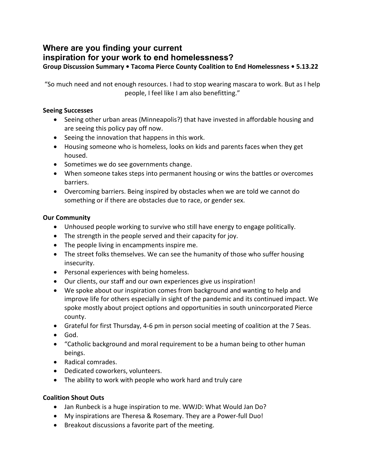# **Where are you finding your current**

# **inspiration for your work to end homelessness?**

**Group Discussion Summary • Tacoma Pierce County Coalition to End Homelessness • 5.13.22**

"So much need and not enough resources. I had to stop wearing mascara to work. But as I help people, I feel like I am also benefitting."

# **Seeing Successes**

- Seeing other urban areas (Minneapolis?) that have invested in affordable housing and are seeing this policy pay off now.
- Seeing the innovation that happens in this work.
- Housing someone who is homeless, looks on kids and parents faces when they get housed.
- Sometimes we do see governments change.
- When someone takes steps into permanent housing or wins the battles or overcomes barriers.
- Overcoming barriers. Being inspired by obstacles when we are told we cannot do something or if there are obstacles due to race, or gender sex.

#### **Our Community**

- Unhoused people working to survive who still have energy to engage politically.
- The strength in the people served and their capacity for joy.
- The people living in encampments inspire me.
- The street folks themselves. We can see the humanity of those who suffer housing insecurity.
- Personal experiences with being homeless.
- Our clients, our staff and our own experiences give us inspiration!
- We spoke about our inspiration comes from background and wanting to help and improve life for others especially in sight of the pandemic and its continued impact. We spoke mostly about project options and opportunities in south unincorporated Pierce county.
- Grateful for first Thursday, 4-6 pm in person social meeting of coalition at the 7 Seas.
- God.
- "Catholic background and moral requirement to be a human being to other human beings.
- Radical comrades.
- Dedicated coworkers, volunteers.
- The ability to work with people who work hard and truly care

# **Coalition Shout Outs**

- Jan Runbeck is a huge inspiration to me. WWJD: What Would Jan Do?
- My inspirations are Theresa & Rosemary. They are a Power-full Duo!
- Breakout discussions a favorite part of the meeting.